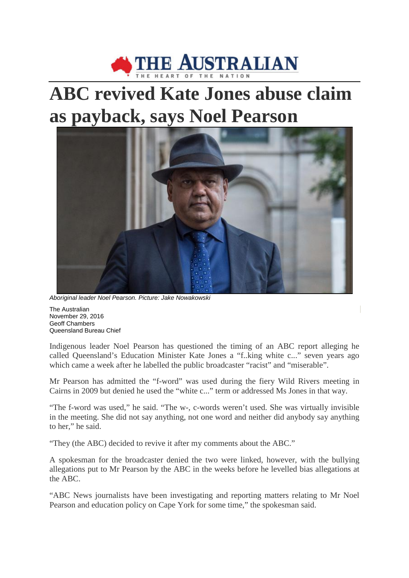

## **ABC revived Kate Jones abuse claim as payback, says Noel Pearson**



*Aboriginal leader Noel Pearson. Picture: Jake Nowakowski*

The Australian November 29, 2016 Geoff Chambers Queensland Bureau Chief

Indigenous leader Noel Pearson has questioned the timing of an ABC report alleging he called Queensland's Education Minister Kate Jones a "f..king white c..." seven years ago which came a week after he labelled the public broadcaster "racist" and "miserable".

Mr Pearson has admitted the "f-word" was used during the fiery Wild Rivers meeting in Cairns in 2009 but denied he used the "white c..." term or addressed Ms Jones in that way.

"The f-word was used," he said. "The w-, c-words weren't used. She was virtually invisible in the meeting. She did not say anything, not one word and neither did anybody say anything to her," he said.

"They (the ABC) decided to revive it after my comments about the ABC."

A spokesman for the broadcaster denied the two were linked, however, with the bullying allegations put to Mr Pearson by the ABC in the weeks before he levelled bias allegations at the ABC.

"ABC News journalists have been investigating and reporting matters relating to Mr Noel Pearson and education policy on Cape York for some time," the spokesman said.